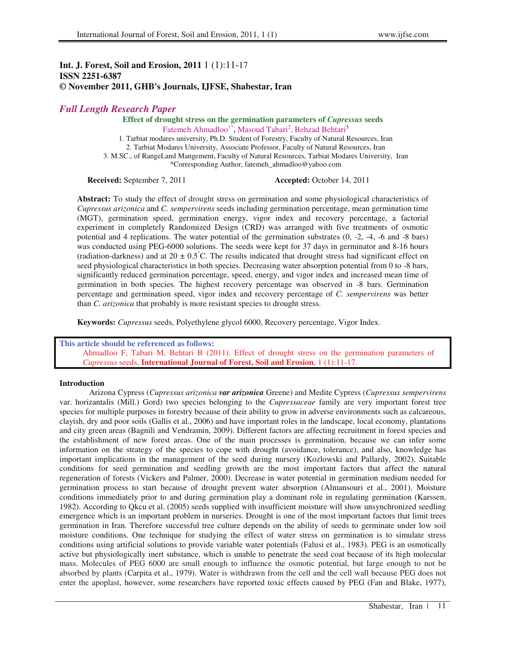# **Int. J. Forest, Soil and Erosion, 2011** 1 (1):11-17 **ISSN 2251-6387 © November 2011, GHB's Journals, IJFSE, Shabestar, Iran**

# *Full Length Research Paper*

**Effect of drought stress on the germination parameters of** *Cupressus* **seeds**  Fatemeh Ahmadloo<sup>1\*</sup>, Masoud Tabari<sup>2</sup>, Behzad Behtari<sup>3</sup>

1. Tarbiat modares university, Ph.D. Student of Forestry, Faculty of Natural Resources, Iran 2. Tarbiat Modares University, Associate Professor, Faculty of Natural Resources, Iran 3. M.SC., of RangeLand Mangement, Faculty of Natural Resources, Tarbiat Modares University, Iran \*Corresponding Author, fatemeh\_ahmadloo@yahoo.com

**Received:** September 7, 2011 **Accepted:** October 14, 2011

**Abstract:** To study the effect of drought stress on germination and some physiological characteristics of *Cupressus arizonica* and *C. sempervirens* seeds including germination percentage, mean germination time (MGT), germination speed, germination energy, vigor index and recovery percentage, a factorial experiment in completely Randomized Design (CRD) was arranged with five treatments of osmotic potential and 4 replications. The water potential of the germination substrates (0, -2, -4, -6 and -8 bars) was conducted using PEG-6000 solutions. The seeds were kept for 37 days in germinator and 8-16 hours (radiation-darkness) and at  $20 \pm 0.5^{\circ}$ C. The results indicated that drought stress had significant effect on seed physiological characteristics in both species. Decreasing water absorption potential from 0 to -8 bars, significantly reduced germination percentage, speed, energy, and vigor index and increased mean time of germination in both species. The highest recovery percentage was observed in -8 bars. Germination percentage and germination speed, vigor index and recovery percentage of *C. sempervirens* was better than *C. arizonica* that probably is more resistant species to drought stress.

**Keywords:** *Cupressus* seeds, Polyethylene glycol 6000, Recovery percentage, Vigor Index.

**This article should be referenced as follows:**  Ahmadloo F, Tabari M, Behtari B (2011). Effect of drought stress on the germination parameters of *Cupressus* seeds, **International Journal of Forest, Soil and Erosion**, 1 (1):11-17

### **Introduction**

Arizona Cypress (*Cupressus arizonica var arizonica* Greene) and Medite Cypress (*Cupressus sempervirens* var. horizantalis (Mill.) Gord) two species belonging to the *Cupressaceae* family are very important forest tree species for multiple purposes in forestry because of their ability to grow in adverse environments such as calcareous, clayish, dry and poor soils (Gallis et al., 2006) and have important roles in the landscape, local economy, plantations and city green areas (Bagnili and Vendramin, 2009). Different factors are affecting recruitment in forest species and the establishment of new forest areas. One of the main processes is germination, because we can infer some information on the strategy of the species to cope with drought (avoidance, tolerance), and also, knowledge has important implications in the management of the seed during nursery (Kozlowski and Pallardy, 2002). Suitable conditions for seed germination and seedling growth are the most important factors that affect the natural regeneration of forests (Vickers and Palmer, 2000). Decrease in water potential in germination medium needed for germination process to start because of drought prevent water absorption (Almansouri et al., 2001). Moisture conditions immediately prior to and during germination play a dominant role in regulating germination (Karssen, 1982). According to Qkcu et al. (2005) seeds supplied with insufficient moisture will show unsynchronized seedling emergence which is an important problem in nurseries. Drought is one of the most important factors that limit trees germination in Iran. Therefore successful tree culture depends on the ability of seeds to germinate under low soil moisture conditions. One technique for studying the effect of water stress on germination is to simulate stress conditions using artificial solutions to provide variable water potentials (Falusi et al., 1983). PEG is an osmotically active but physiologically inert substance, which is unable to penetrate the seed coat because of its high molecular mass. Molecules of PEG 6000 are small enough to influence the osmotic potential, but large enough to not be absorbed by plants (Carpita et al., 1979). Water is withdrawn from the cell and the cell wall because PEG does not enter the apoplast, however, some researchers have reported toxic effects caused by PEG (Fan and Blake, 1977),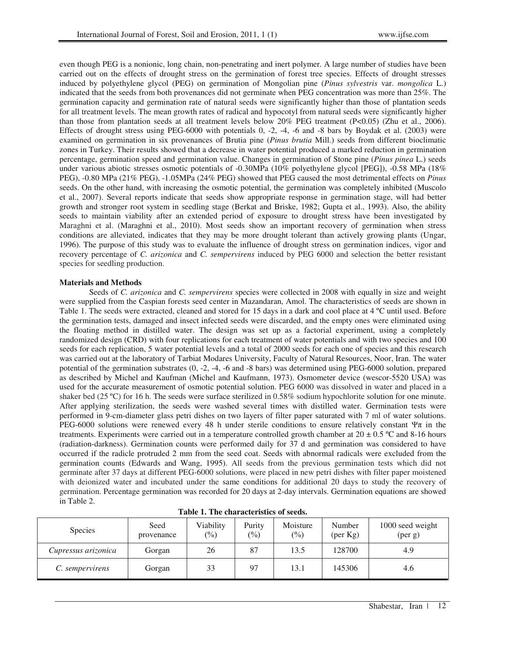even though PEG is a nonionic, long chain, non-penetrating and inert polymer. A large number of studies have been carried out on the effects of drought stress on the germination of forest tree species. Effects of drought stresses induced by polyethylene glycol (PEG) on germination of Mongolian pine (*Pinus sylvestris* var. *mongolica* L.) indicated that the seeds from both provenances did not germinate when PEG concentration was more than 25%. The germination capacity and germination rate of natural seeds were significantly higher than those of plantation seeds for all treatment levels. The mean growth rates of radical and hypocotyl from natural seeds were significantly higher than those from plantation seeds at all treatment levels below 20% PEG treatment (P<0.05) (Zhu et al., 2006). Effects of drought stress using PEG-6000 with potentials 0, -2, -4, -6 and -8 bars by Boydak et al. (2003) were examined on germination in six provenances of Brutia pine (*Pinus brutia* Mill) seeds from different bioclimatic zones in Turkey. Their results showed that a decrease in water potential produced a marked reduction in germination percentage, germination speed and germination value. Changes in germination of Stone pine (*Pinus pinea* L.) seeds under various abiotic stresses osmotic potentials of -0.30MPa (10% polyethylene glycol [PEG]), -0.58 MPa (18% PEG), -0.80 MPa (21% PEG), -1.05MPa (24% PEG) showed that PEG caused the most detrimental effects on *Pinus* seeds. On the other hand, with increasing the osmotic potential, the germination was completely inhibited (Muscolo et al., 2007). Several reports indicate that seeds show appropriate response in germination stage, will had better growth and stronger root system in seedling stage (Berkat and Briske, 1982; Gupta et al., 1993). Also, the ability seeds to maintain viability after an extended period of exposure to drought stress have been investigated by Maraghni et al. (Maraghni et al., 2010). Most seeds show an important recovery of germination when stress conditions are alleviated, indicates that they may be more drought tolerant than actively growing plants (Ungar, 1996). The purpose of this study was to evaluate the influence of drought stress on germination indices, vigor and recovery percentage of *C. arizonica* and *C. sempervirens* induced by PEG 6000 and selection the better resistant species for seedling production.

### **Materials and Methods**

Seeds of *C. arizonica* and *C. sempervirens* species were collected in 2008 with equally in size and weight were supplied from the Caspian forests seed center in Mazandaran, Amol. The characteristics of seeds are shown in Table 1. The seeds were extracted, cleaned and stored for 15 days in a dark and cool place at 4 °C until used. Before the germination tests, damaged and insect infected seeds were discarded, and the empty ones were eliminated using the floating method in distilled water. The design was set up as a factorial experiment, using a completely randomized design (CRD) with four replications for each treatment of water potentials and with two species and 100 seeds for each replication, 5 water potential levels and a total of 2000 seeds for each one of species and this research was carried out at the laboratory of Tarbiat Modares University, Faculty of Natural Resources, Noor, Iran. The water potential of the germination substrates (0, -2, -4, -6 and -8 bars) was determined using PEG-6000 solution, prepared as described by Michel and Kaufman (Michel and Kaufmann, 1973). Osmometer device (wescor-5520 USA) was used for the accurate measurement of osmotic potential solution. PEG 6000 was dissolved in water and placed in a shaker bed (25 ºC) for 16 h. The seeds were surface sterilized in 0.58% sodium hypochlorite solution for one minute. After applying sterilization, the seeds were washed several times with distilled water. Germination tests were performed in 9-cm-diameter glass petri dishes on two layers of filter paper saturated with 7 ml of water solutions. PEG-6000 solutions were renewed every 48 h under sterile conditions to ensure relatively constant  $\Psi \pi$  in the treatments. Experiments were carried out in a temperature controlled growth chamber at  $20 \pm 0.5$  °C and 8-16 hours (radiation-darkness). Germination counts were performed daily for 37 d and germination was considered to have occurred if the radicle protruded 2 mm from the seed coat. Seeds with abnormal radicals were excluded from the germination counts (Edwards and Wang, 1995). All seeds from the previous germination tests which did not germinate after 37 days at different PEG-6000 solutions, were placed in new petri dishes with filter paper moistened with deionized water and incubated under the same conditions for additional 20 days to study the recovery of germination. Percentage germination was recorded for 20 days at 2-day intervals. Germination equations are showed in Table 2.

| TWAIL TI THE CHAINLACHT DATA OF DECADI |                    |                             |                           |                            |                             |                                       |  |  |
|----------------------------------------|--------------------|-----------------------------|---------------------------|----------------------------|-----------------------------|---------------------------------------|--|--|
| <b>Species</b>                         | Seed<br>provenance | Viability<br>$\binom{0}{0}$ | Purity<br>$\frac{(0)}{0}$ | Moisture<br>$\binom{0}{0}$ | Number<br>$(\text{per Kg})$ | 1000 seed weight<br>$(\text{per } g)$ |  |  |
| Cupressus arizonica                    | Gorgan             | 26                          | 87                        | 13.5                       | 128700                      | 4.9                                   |  |  |
| C. sempervirens                        | Gorgan             | 33                          | 97                        | 13.1                       | 145306                      | 4.6                                   |  |  |

**Table 1. The characteristics of seeds.**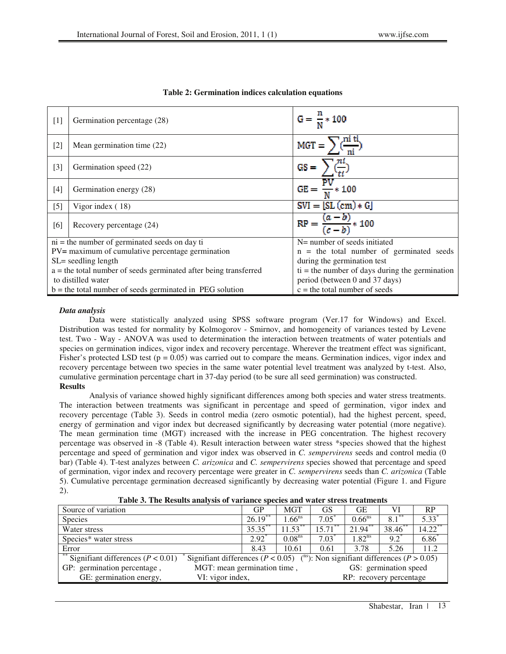| $[1]$ | Germination percentage (28)                                        | $G = \frac{n}{M} * 100$                                                   |  |  |
|-------|--------------------------------------------------------------------|---------------------------------------------------------------------------|--|--|
| $[2]$ | Mean germination time (22)                                         | $\overline{\text{MGT}} = \sum_{i} \frac{\text{mi} \text{ ti}}{\text{ni}}$ |  |  |
| $[3]$ | Germination speed (22)                                             | $GS = \sum_{i=1}^{ni}$                                                    |  |  |
| $[4]$ | Germination energy (28)                                            | $GE = \frac{\overline{PV}}{N} \times 100$                                 |  |  |
| $[5]$ | Vigor index $(18)$                                                 | $\overline{SWI} = [\overline{SL}(\text{cm}) * G]$                         |  |  |
| [6]   | Recovery percentage (24)                                           | $RP = \frac{(a-b)}{(c-b)} * 100$                                          |  |  |
|       | $ni$ = the number of germinated seeds on day ti                    | N= number of seeds initiated                                              |  |  |
|       | PV= maximum of cumulative percentage germination                   | $n =$ the total number of germinated seeds                                |  |  |
|       | SL= seedling length                                                | during the germination test                                               |  |  |
|       | $a =$ the total number of seeds germinated after being transferred | $ti =$ the number of days during the germination                          |  |  |
|       | to distilled water                                                 | period (between 0 and 37 days)                                            |  |  |
|       | $b =$ the total number of seeds germinated in PEG solution         | $c =$ the total number of seeds                                           |  |  |

# **Table 2: Germination indices calculation equations**

### *Data analysis*

Data were statistically analyzed using SPSS software program (Ver.17 for Windows) and Excel. Distribution was tested for normality by Kolmogorov - Smirnov, and homogeneity of variances tested by Levene test. Two - Way - ANOVA was used to determination the interaction between treatments of water potentials and species on germination indices, vigor index and recovery percentage. Wherever the treatment effect was significant, Fisher's protected LSD test ( $p = 0.05$ ) was carried out to compare the means. Germination indices, vigor index and recovery percentage between two species in the same water potential level treatment was analyzed by t-test. Also, cumulative germination percentage chart in 37-day period (to be sure all seed germination) was constructed. **Results** 

Analysis of variance showed highly significant differences among both species and water stress treatments. The interaction between treatments was significant in percentage and speed of germination, vigor index and recovery percentage (Table 3). Seeds in control media (zero osmotic potential), had the highest percent, speed, energy of germination and vigor index but decreased significantly by decreasing water potential (more negative). The mean germination time (MGT) increased with the increase in PEG concentration. The highest recovery percentage was observed in -8 (Table 4). Result interaction between water stress \*species showed that the highest percentage and speed of germination and vigor index was observed in *C. sempervirens* seeds and control media (0 bar) (Table 4). T-test analyzes between *C. arizonica* and *C. sempervirens* species showed that percentage and speed of germination, vigor index and recovery percentage were greater in *C. sempervirens* seeds than *C. arizonica* (Table 5). Cumulative percentage germination decreased significantly by decreasing water potential (Figure 1. and Figure 2).

|  |  |  |  |  |  | Table 3. The Results analysis of variance species and water stress treatments |
|--|--|--|--|--|--|-------------------------------------------------------------------------------|
|--|--|--|--|--|--|-------------------------------------------------------------------------------|

| Source of variation                         |  | GP                                                   | <b>MGT</b>                                                                                         | GS                      | GЕ          | VI       | RP.                 |
|---------------------------------------------|--|------------------------------------------------------|----------------------------------------------------------------------------------------------------|-------------------------|-------------|----------|---------------------|
| <b>Species</b>                              |  | $26.19$ **                                           | $1.66$ <sup>ns</sup>                                                                               | $7.05^*$                | $0.66^{ns}$ | $8.1***$ | $\overline{5.33}^*$ |
| Water stress                                |  | $35.35***$                                           | $11.53***$                                                                                         | $15.71***$              | $21.94$ **  | 38.46**  | $14.22$ **          |
| Species* water stress                       |  |                                                      | 0.08 <sup>ns</sup>                                                                                 | $7.03*$                 | $1.82^{ns}$ | $9.2^*$  | $6.86*$             |
| Error                                       |  | 8.43                                                 | 10.61                                                                                              | 0.61                    | 3.78        | 5.26     | 11.2                |
| ** Signifiant differences ( $P < 0.01$ )    |  |                                                      | Signifiant differences ( $P < 0.05$ ) ( <sup>ns</sup> ): Non signifiant differences ( $P > 0.05$ ) |                         |             |          |                     |
| GP: germination percentage,                 |  | MGT: mean germination time,<br>GS: germination speed |                                                                                                    |                         |             |          |                     |
| GE: germination energy,<br>VI: vigor index, |  |                                                      |                                                                                                    | RP: recovery percentage |             |          |                     |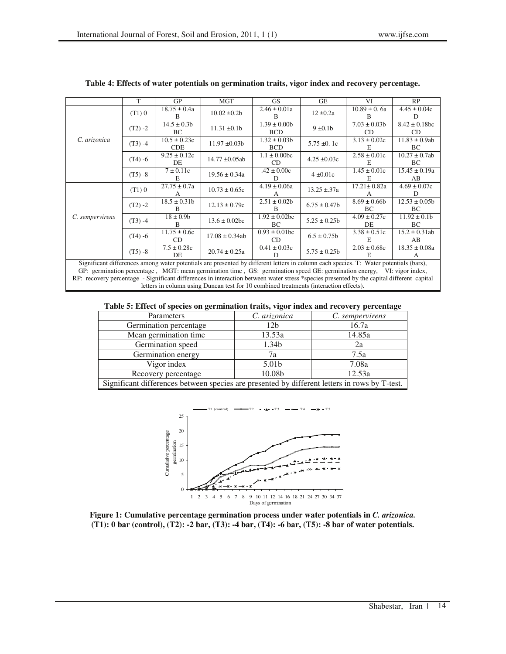|                                                                                                                                       | т          | <b>GP</b>                        | <b>MGT</b>         | GS.                              | <b>GE</b>        | VI                               | <b>RP</b>                 |
|---------------------------------------------------------------------------------------------------------------------------------------|------------|----------------------------------|--------------------|----------------------------------|------------------|----------------------------------|---------------------------|
| C. arizonica                                                                                                                          | (T1)0      | $18.75 \pm 0.4a$<br><sub>R</sub> | $10.02 \pm 0.2b$   | $2.46 \pm 0.01a$<br>B.           | $12 \pm 0.2a$    | $10.89 \pm 0.6a$<br><sup>B</sup> | $4.45 \pm 0.04c$<br>D     |
|                                                                                                                                       | $(T2) - 2$ | $14.5 \pm 0.3b$<br>BC            | $11.31 \pm 0.1b$   | $1.39 \pm 0.00b$<br><b>BCD</b>   | $9 \pm 0.1$      | $7.03 \pm 0.03b$<br>CD           | $8.42 \pm 0.18$ bc<br>CD  |
|                                                                                                                                       | $(T3) -4$  | $10.5 \pm 0.23c$<br><b>CDE</b>   | $11.97 \pm 0.03b$  | $1.32 \pm 0.03b$<br><b>BCD</b>   | $5.75 \pm 0.1c$  | $3.13 \pm 0.02c$<br>E            | $11.83 \pm 0.9ab$<br>BC.  |
|                                                                                                                                       | $(T4) - 6$ | $9.25 \pm 0.12c$<br>DE           | $14.77 \pm 0.05ab$ | $1.1 \pm 0.00$ bc<br>CD.         | $4.25 \pm 0.03c$ | $2.58 \pm 0.01c$<br>E            | $10.27 \pm 0.7$ ab<br>BC. |
|                                                                                                                                       | $(T5) - 8$ | $7 \pm 0.11c$<br>E               | $19.56 \pm 0.34a$  | $.42 \pm 0.00c$<br>D             | $4 \pm 0.01c$    | $1.45 \pm 0.01c$<br>E            | $15.45 \pm 0.19a$<br>AB   |
|                                                                                                                                       | (T1)0      | $27.75 \pm 0.7a$                 | $10.73 \pm 0.65c$  | $4.19 \pm 0.06a$                 | $13.25 \pm 37a$  | $17.21 \pm 0.82a$                | $4.69 \pm 0.07c$<br>D     |
| C. sempervirens                                                                                                                       | $(T2) - 2$ | $18.5 \pm 0.31b$<br>R            | $12.13 \pm 0.79c$  | $2.51 \pm 0.02b$<br><sub>R</sub> | $6.75 \pm 0.47$  | $8.69 \pm 0.66$<br>BC            | $12.53 \pm 0.05b$<br>BC.  |
|                                                                                                                                       | $(T3) -4$  | $18 \pm 0.9$ b<br>B              | $13.6 \pm 0.02$ bc | $1.92 \pm 0.02$ bc<br>BC.        | $5.25 \pm 0.25$  | $4.09 \pm 0.27c$<br>DE.          | $11.92 \pm 0.1b$<br>BC.   |
|                                                                                                                                       | $(T4) - 6$ | $11.75 \pm 0.6c$<br>CD           | $17.08 \pm 0.34ab$ | $0.93 \pm 0.01$ bc<br>CD         | $6.5 \pm 0.75b$  | $3.38 \pm 0.51c$<br>E            | $15.2 \pm 0.31$ ab<br>AB  |
|                                                                                                                                       | $(T5) - 8$ | $7.5 \pm 0.28c$<br>DE            | $20.74 \pm 0.25a$  | $0.41 \pm 0.03c$<br>D            | $5.75 \pm 0.25$  | $2.03 \pm 0.68c$<br>E.           | $18.35 \pm 0.08a$         |
| Significant differences among water potentials are presented by different letters in column each species. T: Water potentials (bars), |            |                                  |                    |                                  |                  |                                  |                           |

#### **Table 4: Effects of water potentials on germination traits, vigor index and recovery percentage.**

GP: germination percentage , MGT: mean germination time , GS: germination speed GE: germination energy, VI: vigor index, RP: recovery percentage - Significant differences in interaction between water stress \*species presented by the capital different capital letters in column using Duncan test for 10 combined treatments (interaction effects).

## **Table 5: Effect of species on germination traits, vigor index and recovery percentage**

| Parameters                                                                                    | C. arizonica    | C. sempervirens |  |  |  |
|-----------------------------------------------------------------------------------------------|-----------------|-----------------|--|--|--|
| Germination percentage                                                                        | 12 <sub>b</sub> | 16.7a           |  |  |  |
| Mean germination time                                                                         | 13.53a          | 14.85a          |  |  |  |
| Germination speed                                                                             | 1.34b           | 2a              |  |  |  |
| Germination energy                                                                            | 7a              | 7.5a            |  |  |  |
| Vigor index                                                                                   | 5.01b           | 7.08a           |  |  |  |
| Recovery percentage                                                                           | 10.08b          | 12.53a          |  |  |  |
| Significant differences between species are presented by different letters in rows by T-test. |                 |                 |  |  |  |



**Figure 1: Cumulative percentage germination process under water potentials in** *C. arizonica.*  **(T1): 0 bar (control), (T2): -2 bar, (T3): -4 bar, (T4): -6 bar, (T5): -8 bar of water potentials.**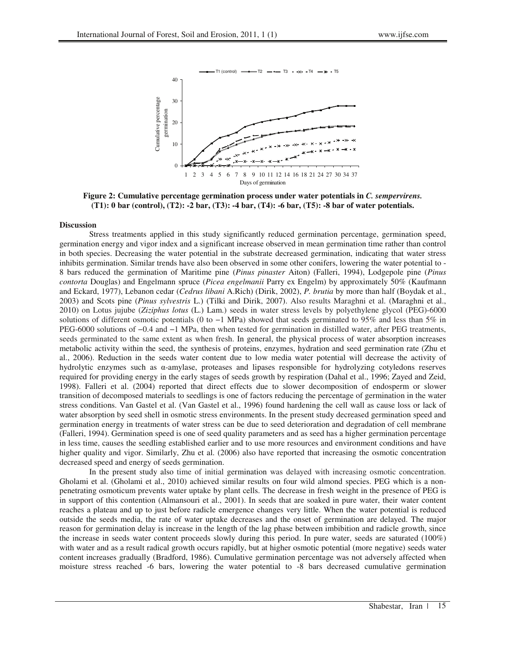

**Figure 2: Cumulative percentage germination process under water potentials in** *C. sempervirens.*  **(T1): 0 bar (control), (T2): -2 bar, (T3): -4 bar, (T4): -6 bar, (T5): -8 bar of water potentials.**

#### **Discussion**

Stress treatments applied in this study significantly reduced germination percentage, germination speed, germination energy and vigor index and a significant increase observed in mean germination time rather than control in both species. Decreasing the water potential in the substrate decreased germination, indicating that water stress inhibits germination. Similar trends have also been observed in some other conifers, lowering the water potential to - 8 bars reduced the germination of Maritime pine (*Pinus pinaster* Aiton) (Falleri, 1994), Lodgepole pine (*Pinus contorta* Douglas) and Engelmann spruce (*Picea engelmanii* Parry ex Engelm) by approximately 50% (Kaufmann and Eckard, 1977), Lebanon cedar (*Cedrus libani* A.Rich) (Dirik, 2002), *P. brutia* by more than half (Boydak et al., 2003) and Scots pine (*Pinus sylvestris* L.) (Tilki and Dirik, 2007). Also results Maraghni et al. (Maraghni et al., 2010) on Lotus jujube (*Ziziphus lotus* (L.) Lam.) seeds in water stress levels by polyethylene glycol (PEG)-6000 solutions of different osmotic potentials (0 to −1 MPa) showed that seeds germinated to 95% and less than 5% in PEG-6000 solutions of −0.4 and −1 MPa, then when tested for germination in distilled water, after PEG treatments, seeds germinated to the same extent as when fresh. In general, the physical process of water absorption increases metabolic activity within the seed, the synthesis of proteins, enzymes, hydration and seed germination rate (Zhu et al., 2006). Reduction in the seeds water content due to low media water potential will decrease the activity of hydrolytic enzymes such as  $\alpha$ -amylase, proteases and lipases responsible for hydrolyzing cotyledons reserves required for providing energy in the early stages of seeds growth by respiration (Dahal et al., 1996; Zayed and Zeid, 1998). Falleri et al. (2004) reported that direct effects due to slower decomposition of endosperm or slower transition of decomposed materials to seedlings is one of factors reducing the percentage of germination in the water stress conditions. Van Gastel et al. (Van Gastel et al., 1996) found hardening the cell wall as cause loss or lack of water absorption by seed shell in osmotic stress environments. In the present study decreased germination speed and germination energy in treatments of water stress can be due to seed deterioration and degradation of cell membrane (Falleri, 1994). Germination speed is one of seed quality parameters and as seed has a higher germination percentage in less time, causes the seedling established earlier and to use more resources and environment conditions and have higher quality and vigor. Similarly, Zhu et al. (2006) also have reported that increasing the osmotic concentration decreased speed and energy of seeds germination.

In the present study also time of initial germination was delayed with increasing osmotic concentration. Gholami et al. (Gholami et al., 2010) achieved similar results on four wild almond species. PEG which is a nonpenetrating osmoticum prevents water uptake by plant cells. The decrease in fresh weight in the presence of PEG is in support of this contention (Almansouri et al., 2001). In seeds that are soaked in pure water, their water content reaches a plateau and up to just before radicle emergence changes very little. When the water potential is reduced outside the seeds media, the rate of water uptake decreases and the onset of germination are delayed. The major reason for germination delay is increase in the length of the lag phase between imbibition and radicle growth, since the increase in seeds water content proceeds slowly during this period. In pure water, seeds are saturated (100%) with water and as a result radical growth occurs rapidly, but at higher osmotic potential (more negative) seeds water content increases gradually (Bradford, 1986). Cumulative germination percentage was not adversely affected when moisture stress reached -6 bars, lowering the water potential to -8 bars decreased cumulative germination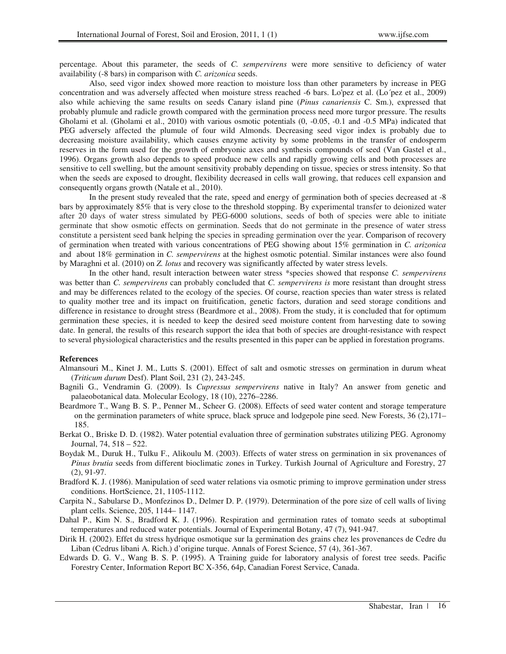percentage. About this parameter, the seeds of *C. sempervirens* were more sensitive to deficiency of water availability (-8 bars) in comparison with *C. arizonica* seeds.

Also, seed vigor index showed more reaction to moisture loss than other parameters by increase in PEG concentration and was adversely affected when moisture stress reached -6 bars. Lo'pez et al. (Lo´pez et al., 2009) also while achieving the same results on seeds Canary island pine (*Pinus canariensis* C. Sm.), expressed that probably plumule and radicle growth compared with the germination process need more turgor pressure. The results Gholami et al. (Gholami et al., 2010) with various osmotic potentials (0, -0.05, -0.1 and -0.5 MPa) indicated that PEG adversely affected the plumule of four wild Almonds. Decreasing seed vigor index is probably due to decreasing moisture availability, which causes enzyme activity by some problems in the transfer of endosperm reserves in the form used for the growth of embryonic axes and synthesis compounds of seed (Van Gastel et al., 1996). Organs growth also depends to speed produce new cells and rapidly growing cells and both processes are sensitive to cell swelling, but the amount sensitivity probably depending on tissue, species or stress intensity. So that when the seeds are exposed to drought, flexibility decreased in cells wall growing, that reduces cell expansion and consequently organs growth (Natale et al., 2010).

In the present study revealed that the rate, speed and energy of germination both of species decreased at -8 bars by approximately 85% that is very close to the threshold stopping. By experimental transfer to deionized water after 20 days of water stress simulated by PEG-6000 solutions, seeds of both of species were able to initiate germinate that show osmotic effects on germination. Seeds that do not germinate in the presence of water stress constitute a persistent seed bank helping the species in spreading germination over the year. Comparison of recovery of germination when treated with various concentrations of PEG showing about 15% germination in *C. arizonica* and about 18% germination in *C. sempervirens* at the highest osmotic potential. Similar instances were also found by Maraghni et al. (2010) on *Z. lotus* and recovery was significantly affected by water stress levels.

In the other hand, result interaction between water stress \*species showed that response *C. sempervirens*  was better than *C. sempervirens* can probably concluded that *C. sempervirens is* more resistant than drought stress and may be differences related to the ecology of the species. Of course, reaction species than water stress is related to quality mother tree and its impact on fruitification, genetic factors, duration and seed storage conditions and difference in resistance to drought stress (Beardmore et al., 2008). From the study, it is concluded that for optimum germination these species, it is needed to keep the desired seed moisture content from harvesting date to sowing date. In general, the results of this research support the idea that both of species are drought-resistance with respect to several physiological characteristics and the results presented in this paper can be applied in forestation programs.

#### **References**

- Almansouri M., Kinet J. M., Lutts S. (2001). Effect of salt and osmotic stresses on germination in durum wheat (*Triticum durum* Desf). Plant Soil, 231 (2), 243-245.
- Bagnili G., Vendramin G. (2009). Is *Cupressus sempervirens* native in Italy? An answer from genetic and palaeobotanical data. Molecular Ecology, 18 (10), 2276–2286.
- Beardmore T., Wang B. S. P., Penner M., Scheer G. (2008). Effects of seed water content and storage temperature on the germination parameters of white spruce, black spruce and lodgepole pine seed. New Forests,  $36(2)$ ,  $171-$ 185.
- Berkat O., Briske D. D. (1982). Water potential evaluation three of germination substrates utilizing PEG. Agronomy Journal, 74, 518 – 522.
- Boydak M., Duruk H., Tulku F., Alikoulu M. (2003). Effects of water stress on germination in six provenances of *Pinus brutia* seeds from different bioclimatic zones in Turkey. Turkish Journal of Agriculture and Forestry, 27 (2), 91-97.
- Bradford K. J. (1986). Manipulation of seed water relations via osmotic priming to improve germination under stress conditions. HortScience, 21, 1105-1112.
- Carpita N., Sabularse D., Monfezinos D., Delmer D. P. (1979). Determination of the pore size of cell walls of living plant cells. Science, 205, 1144– 1147.
- Dahal P., Kim N. S., Bradford K. J. (1996). Respiration and germination rates of tomato seeds at suboptimal temperatures and reduced water potentials. Journal of Experimental Botany, 47 (7), 941-947.
- Dirik H. (2002). Effet du stress hydrique osmotique sur la germination des grains chez les provenances de Cedre du Liban (Cedrus libani A. Rich.) d'origine turque. Annals of Forest Science, 57 (4), 361-367.
- Edwards D. G. V., Wang B. S. P. (1995). A Training guide for laboratory analysis of forest tree seeds. Pacific Forestry Center, Information Report BC X-356, 64p, Canadian Forest Service, Canada.